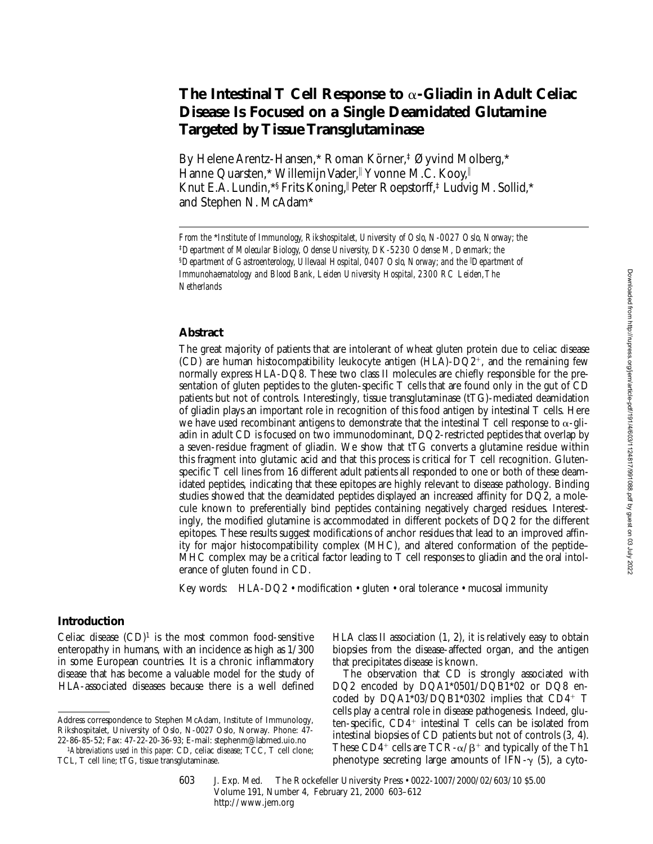# **The Intestinal T Cell Response to** a**-Gliadin in Adult Celiac Disease Is Focused on a Single Deamidated Glutamine Targeted by Tissue Transglutaminase**

By Helene Arentz-Hansen,\* Roman Körner,‡ Øyvind Molberg,\* Hanne Quarsten,\* Willemijn Vader, Yvonne M.C. Kooy, Knut E.A. Lundin, \*§ Frits Koning, Peter Roepstorff, ‡Ludvig M. Sollid, \* and Stephen N. McAdam\*

## **Abstract**

The great majority of patients that are intolerant of wheat gluten protein due to celiac disease (CD) are human histocompatibility leukocyte antigen (HLA)-DQ2+, and the remaining few normally express HLA-DQ8. These two class II molecules are chiefly responsible for the presentation of gluten peptides to the gluten-specific T cells that are found only in the gut of CD patients but not of controls. Interestingly, tissue transglutaminase (tTG)-mediated deamidation of gliadin plays an important role in recognition of this food antigen by intestinal T cells. Here we have used recombinant antigens to demonstrate that the intestinal T cell response to  $\alpha$ -gliadin in adult CD is focused on two immunodominant, DQ2-restricted peptides that overlap by a seven-residue fragment of gliadin. We show that tTG converts a glutamine residue within this fragment into glutamic acid and that this process is critical for T cell recognition. Glutenspecific T cell lines from 16 different adult patients all responded to one or both of these deamidated peptides, indicating that these epitopes are highly relevant to disease pathology. Binding studies showed that the deamidated peptides displayed an increased affinity for DQ2, a molecule known to preferentially bind peptides containing negatively charged residues. Interestingly, the modified glutamine is accommodated in different pockets of DQ2 for the different epitopes. These results suggest modifications of anchor residues that lead to an improved affinity for major histocompatibility complex (MHC), and altered conformation of the peptide– MHC complex may be a critical factor leading to T cell responses to gliadin and the oral intolerance of gluten found in CD.

Key words: HLA-DQ2 • modification • gluten • oral tolerance • mucosal immunity

## **Introduction**

Celiac disease  $(CD)^1$  is the most common food-sensitive enteropathy in humans, with an incidence as high as 1/300 in some European countries. It is a chronic inflammatory disease that has become a valuable model for the study of HLA-associated diseases because there is a well defined HLA class II association (1, 2), it is relatively easy to obtain biopsies from the disease-affected organ, and the antigen that precipitates disease is known.

The observation that CD is strongly associated with DQ2 encoded by DQA1\*0501/DQB1\*02 or DQ8 encoded by  $DQA1*03/DQB1*0302$  implies that  $CD4+T$ cells play a central role in disease pathogenesis. Indeed, gluten-specific,  $CD4^+$  intestinal T cells can be isolated from intestinal biopsies of CD patients but not of controls (3, 4). These CD4<sup>+</sup> cells are TCR- $\alpha/\beta$ <sup>+</sup> and typically of the Th1 phenotype secreting large amounts of IFN- $\gamma$  (5), a cyto-

*From the* \**Institute of Immunology, Rikshospitalet, University of Oslo, N-0027 Oslo, Norway; the*  ‡*Department of Molecular Biology, Odense University, DK-5230 Odense M, Denmark; the*  §*Department of Gastroenterology, Ullevaal Hospital, 0407 Oslo, Norway; and the* <sup>i</sup> *Department of Immunohaematology and Blood Bank, Leiden University Hospital, 2300 RC Leiden, The Netherlands*

Address correspondence to Stephen McAdam, Institute of Immunology, Rikshospitalet, University of Oslo, N-0027 Oslo, Norway. Phone: 47- 22-86-85-52; Fax: 47-22-20-36-93; E-mail: stephenm@labmed.uio.no

<sup>1</sup>*Abbreviations used in this paper:* CD, celiac disease; TCC, T cell clone; TCL, T cell line; tTG, tissue transglutaminase.

<sup>603</sup> J. Exp. Med. The Rockefeller University Press • 0022-1007/2000/02/603/10 \$5.00 Volume 191, Number 4, February 21, 2000 603–612 http://www.jem.org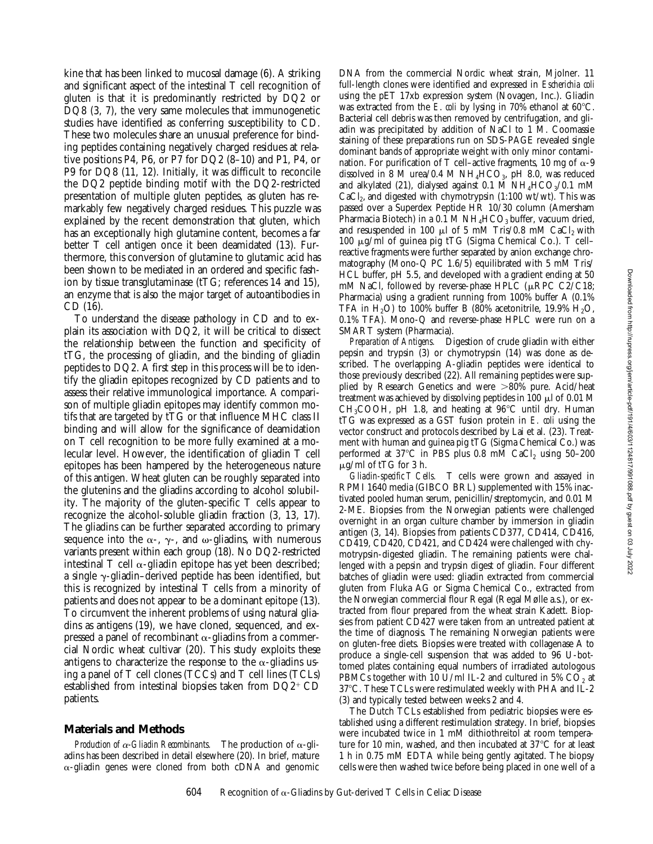kine that has been linked to mucosal damage (6). A striking and significant aspect of the intestinal T cell recognition of gluten is that it is predominantly restricted by DQ2 or DQ8 (3, 7), the very same molecules that immunogenetic studies have identified as conferring susceptibility to CD. These two molecules share an unusual preference for binding peptides containing negatively charged residues at relative positions P4, P6, or P7 for DQ2 (8–10) and P1, P4, or P9 for DQ8 (11, 12). Initially, it was difficult to reconcile the DQ2 peptide binding motif with the DQ2-restricted presentation of multiple gluten peptides, as gluten has remarkably few negatively charged residues. This puzzle was explained by the recent demonstration that gluten, which has an exceptionally high glutamine content, becomes a far better T cell antigen once it been deamidated (13). Furthermore, this conversion of glutamine to glutamic acid has been shown to be mediated in an ordered and specific fashion by tissue transglutaminase (tTG; references 14 and 15), an enzyme that is also the major target of autoantibodies in CD (16).

To understand the disease pathology in CD and to explain its association with DQ2, it will be critical to dissect the relationship between the function and specificity of tTG, the processing of gliadin, and the binding of gliadin peptides to DQ2. A first step in this process will be to identify the gliadin epitopes recognized by CD patients and to assess their relative immunological importance. A comparison of multiple gliadin epitopes may identify common motifs that are targeted by tTG or that influence MHC class II binding and will allow for the significance of deamidation on T cell recognition to be more fully examined at a molecular level. However, the identification of gliadin T cell epitopes has been hampered by the heterogeneous nature of this antigen. Wheat gluten can be roughly separated into the glutenins and the gliadins according to alcohol solubility. The majority of the gluten-specific T cells appear to recognize the alcohol-soluble gliadin fraction (3, 13, 17). The gliadins can be further separated according to primary sequence into the  $\alpha$ -,  $\gamma$ -, and  $\omega$ -gliadins, with numerous variants present within each group (18). No DQ2-restricted intestinal T cell  $\alpha$ -gliadin epitope has yet been described; a single  $\gamma$ -gliadin–derived peptide has been identified, but this is recognized by intestinal T cells from a minority of patients and does not appear to be a dominant epitope (13). To circumvent the inherent problems of using natural gliadins as antigens (19), we have cloned, sequenced, and expressed a panel of recombinant  $\alpha$ -gliadins from a commercial Nordic wheat cultivar (20). This study exploits these antigens to characterize the response to the  $\alpha$ -gliadins using a panel of T cell clones (TCCs) and T cell lines (TCLs) established from intestinal biopsies taken from  $DQ2^+CD$ patients.

# **Materials and Methods**

*Production of*  $\alpha$ *-Gliadin Recombinants.* The production of  $\alpha$ -gliadins has been described in detail elsewhere (20). In brief, mature  $\alpha$ -gliadin genes were cloned from both cDNA and genomic

DNA from the commercial Nordic wheat strain, Mjolner. 11 full-length clones were identified and expressed in *Escherichia coli* using the pET 17xb expression system (Novagen, Inc.). Gliadin was extracted from the  $E$ . *coli* by lysing in 70% ethanol at 60 $^{\circ}$ C. Bacterial cell debris was then removed by centrifugation, and gliadin was precipitated by addition of NaCl to 1 M. Coomassie staining of these preparations run on SDS-PAGE revealed single dominant bands of appropriate weight with only minor contamination. For purification of T cell–active fragments, 10 mg of  $\alpha$ -9 dissolved in 8 M urea/0.4 M  $NH_4HCO_3$ , pH 8.0, was reduced and alkylated (21), dialysed against 0.1 M  $NH_4HCO_3/0.1$  mM  $CaCl<sub>2</sub>$ , and digested with chymotrypsin (1:100 wt/wt). This was passed over a Superdex Peptide HR 10/30 column (Amersham Pharmacia Biotech) in a 0.1 M  $NH_4HCO_3$  buffer, vacuum dried, and resuspended in 100  $\mu$ l of 5 mM Tris/0.8 mM CaCl<sub>2</sub> with 100 mg/ml of guinea pig tTG (Sigma Chemical Co.). T cell– reactive fragments were further separated by anion exchange chromatography (Mono-Q PC 1.6/5) equilibrated with 5 mM Tris/ HCL buffer, pH 5.5, and developed with a gradient ending at 50 mM NaCl, followed by reverse-phase HPLC ( $\mu$ RPC C2/C18; Pharmacia) using a gradient running from 100% buffer A (0.1% TFA in  $H_2O$ ) to 100% buffer B (80% acetonitrile, 19.9%  $H_2O$ , 0.1% TFA). Mono-Q and reverse-phase HPLC were run on a SMART system (Pharmacia).

*Preparation of Antigens.* Digestion of crude gliadin with either pepsin and trypsin (3) or chymotrypsin (14) was done as described. The overlapping A-gliadin peptides were identical to those previously described (22). All remaining peptides were supplied by Research Genetics and were  $>80\%$  pure. Acid/heat treatment was achieved by dissolving peptides in 100  $\mu$ l of 0.01 M CH<sub>3</sub>COOH, pH 1.8, and heating at  $96^{\circ}$ C until dry. Human tTG was expressed as a GST fusion protein in *E. coli* using the vector construct and protocols described by Lai et al. (23). Treatment with human and guinea pig tTG (Sigma Chemical Co.) was performed at 37°C in PBS plus 0.8 mM CaCl<sub>2</sub> using 50-200  $\mu$ g/ml of tTG for 3 h.

*Gliadin-specific T Cells.* T cells were grown and assayed in RPMI 1640 media (GIBCO BRL) supplemented with 15% inactivated pooled human serum, penicillin/streptomycin, and 0.01 M 2-ME. Biopsies from the Norwegian patients were challenged overnight in an organ culture chamber by immersion in gliadin antigen (3, 14). Biopsies from patients CD377, CD414, CD416, CD419, CD420, CD421, and CD424 were challenged with chymotrypsin-digested gliadin. The remaining patients were challenged with a pepsin and trypsin digest of gliadin. Four different batches of gliadin were used: gliadin extracted from commercial gluten from Fluka AG or Sigma Chemical Co., extracted from the Norwegian commercial flour Regal (Regal Mølle a.s.), or extracted from flour prepared from the wheat strain Kadett. Biopsies from patient CD427 were taken from an untreated patient at the time of diagnosis. The remaining Norwegian patients were on gluten-free diets. Biopsies were treated with collagenase A to produce a single-cell suspension that was added to 96 U-bottomed plates containing equal numbers of irradiated autologous PBMCs together with 10 U/ml IL-2 and cultured in 5%  $CO<sub>2</sub>$  at 37°C. These TCLs were restimulated weekly with PHA and IL-2 (3) and typically tested between weeks 2 and 4.

The Dutch TCLs established from pediatric biopsies were established using a different restimulation strategy. In brief, biopsies were incubated twice in 1 mM dithiothreitol at room temperature for 10 min, washed, and then incubated at  $37^{\circ}$ C for at least 1 h in 0.75 mM EDTA while being gently agitated. The biopsy cells were then washed twice before being placed in one well of a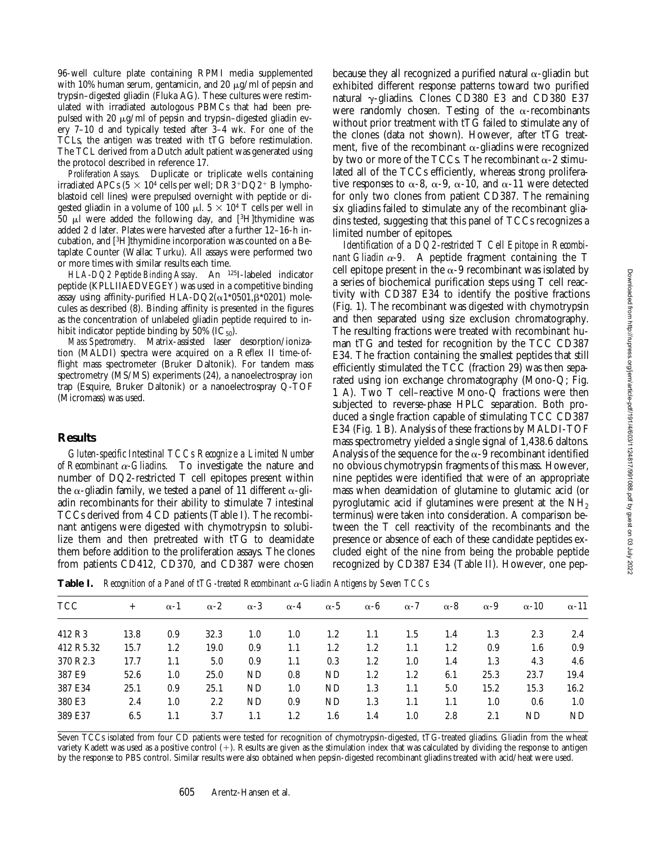96-well culture plate containing RPMI media supplemented with 10% human serum, gentamicin, and 20  $\mu$ g/ml of pepsin and trypsin–digested gliadin (Fluka AG). These cultures were restimulated with irradiated autologous PBMCs that had been prepulsed with 20  $\mu$ g/ml of pepsin and trypsin-digested gliadin every 7–10 d and typically tested after 3–4 wk. For one of the TCLs, the antigen was treated with tTG before restimulation. The TCL derived from a Dutch adult patient was generated using the protocol described in reference 17.

*Proliferation Assays.* Duplicate or triplicate wells containing irradiated APCs  $(5 \times 10^4 \text{ cells per well}; \text{DR3+DQ2+ B lympho-}$ blastoid cell lines) were prepulsed overnight with peptide or digested gliadin in a volume of 100  $\mu$ l.  $5 \times 10^4$  T cells per well in 50  $\mu$ l were added the following day, and [3H]thymidine was added 2 d later. Plates were harvested after a further 12–16-h incubation, and [3H]thymidine incorporation was counted on a Betaplate Counter (Wallac Turku). All assays were performed two or more times with similar results each time.

*HLA-DQ2 Peptide Binding Assay.* An 125I-labeled indicator peptide (KPLLIIAEDVEGEY) was used in a competitive binding assay using affinity-purified HLA-DQ2( $\alpha$ 1\*0501, $\beta$ \*0201) molecules as described (8). Binding affinity is presented in the figures as the concentration of unlabeled gliadin peptide required to inhibit indicator peptide binding by 50%  $(IC_{50})$ .

*Mass Spectrometry.* Matrix-assisted laser desorption/ionization (MALDI) spectra were acquired on a Reflex II time-offlight mass spectrometer (Bruker Daltonik). For tandem mass spectrometry (MS/MS) experiments (24), a nanoelectrospray ion trap (Esquire, Bruker Daltonik) or a nanoelectrospray Q-TOF (Micromass) was used.

## **Results**

*Gluten-specific Intestinal TCCs Recognize a Limited Number of Recombinant*  $\alpha$ *-Gliadins.* To investigate the nature and number of DQ2-restricted T cell epitopes present within the  $\alpha$ -gliadin family, we tested a panel of 11 different  $\alpha$ -gliadin recombinants for their ability to stimulate 7 intestinal TCCs derived from 4 CD patients (Table I). The recombinant antigens were digested with chymotrypsin to solubilize them and then pretreated with tTG to deamidate them before addition to the proliferation assays. The clones from patients CD412, CD370, and CD387 were chosen

because they all recognized a purified natural  $\alpha$ -gliadin but exhibited different response patterns toward two purified natural  $\gamma$ -gliadins. Clones CD380 E3 and CD380 E37 were randomly chosen. Testing of the  $\alpha$ -recombinants without prior treatment with tTG failed to stimulate any of the clones (data not shown). However, after tTG treatment, five of the recombinant  $\alpha$ -gliadins were recognized by two or more of the TCCs. The recombinant  $\alpha$ -2 stimulated all of the TCCs efficiently, whereas strong proliferative responses to  $\alpha$ -8,  $\alpha$ -9,  $\alpha$ -10, and  $\alpha$ -11 were detected for only two clones from patient CD387. The remaining six gliadins failed to stimulate any of the recombinant gliadins tested, suggesting that this panel of TCCs recognizes a limited number of epitopes.

*Identification of a DQ2-restricted T Cell Epitope in Recombinant Gliadin*  $\alpha$ *-9.* A peptide fragment containing the T cell epitope present in the  $\alpha$ -9 recombinant was isolated by a series of biochemical purification steps using T cell reactivity with CD387 E34 to identify the positive fractions (Fig. 1). The recombinant was digested with chymotrypsin and then separated using size exclusion chromatography. The resulting fractions were treated with recombinant human tTG and tested for recognition by the TCC CD387 E34. The fraction containing the smallest peptides that still efficiently stimulated the TCC (fraction 29) was then separated using ion exchange chromatography (Mono-Q; Fig. 1 A). Two T cell–reactive Mono-Q fractions were then subjected to reverse-phase HPLC separation. Both produced a single fraction capable of stimulating TCC CD387 E34 (Fig. 1 B). Analysis of these fractions by MALDI-TOF mass spectrometry yielded a single signal of 1,438.6 daltons. Analysis of the sequence for the  $\alpha$ -9 recombinant identified no obvious chymotrypsin fragments of this mass. However, nine peptides were identified that were of an appropriate mass when deamidation of glutamine to glutamic acid (or pyroglutamic acid if glutamines were present at the  $NH<sub>2</sub>$ terminus) were taken into consideration. A comparison between the T cell reactivity of the recombinants and the presence or absence of each of these candidate peptides excluded eight of the nine from being the probable peptide recognized by CD387 E34 (Table II). However, one pep-

**Table I.** *Recognition of a Panel of tTG-treated Recombinant* a*-Gliadin Antigens by Seven TCCs*

| <b>TCC</b>           | $+$  | $\alpha-1$ | $\alpha$ -2 | $\alpha - 3$ | $\alpha - 4$ | $\alpha - 5$ | $\alpha - \beta$ | $\alpha$ -7 | $\alpha - 8$ | $\alpha - 9$ | $\alpha - 10$ | $\alpha$ -11 |
|----------------------|------|------------|-------------|--------------|--------------|--------------|------------------|-------------|--------------|--------------|---------------|--------------|
| 412 R <sub>3</sub>   | 13.8 | 0.9        | 32.3        | 1.0          | 1.0          | 1.2          | 1.1              | 1.5         | 1.4          | 1.3          | 2.3           | 2.4          |
| 412 R5.32            | 15.7 | 1.2        | 19.0        | 0.9          | 1.1          | 1.2          | 1.2              | 1.1         | 1.2          | 0.9          | 1.6           | 0.9          |
| 370 R <sub>2.3</sub> | 17.7 | 1.1        | 5.0         | 0.9          | 1.1          | 0.3          | 1.2              | 1.0         | 1.4          | 1.3          | 4.3           | 4.6          |
| 387 E9               | 52.6 | 1.0        | 25.0        | ND           | 0.8          | ND           | 1.2              | 1.2         | 6.1          | 25.3         | 23.7          | 19.4         |
| 387 E34              | 25.1 | 0.9        | 25.1        | ND           | 1.0          | ND           | 1.3              | 1.1         | 5.0          | 15.2         | 15.3          | 16.2         |
| 380 E3               | 2.4  | 1.0        | $2.2\,$     | ND           | 0.9          | ND           | 1.3              | 1.1         | 1.1          | 1.0          | 0.6           | 1.0          |
| 389 E37              | 6.5  | 1.1        | 3.7         | 1.1          | $1.2\,$      | 1.6          | 1.4              | 1.0         | 2.8          | 2.1          | ND            | ND           |
|                      |      |            |             |              |              |              |                  |             |              |              |               |              |

Seven TCCs isolated from four CD patients were tested for recognition of chymotrypsin-digested, tTG-treated gliadins. Gliadin from the wheat variety Kadett was used as a positive control  $(+)$ . Results are given as the stimulation index that was calculated by dividing the response to antigen by the response to PBS control. Similar results were also obtained when pepsin-digested recombinant gliadins treated with acid/heat were used.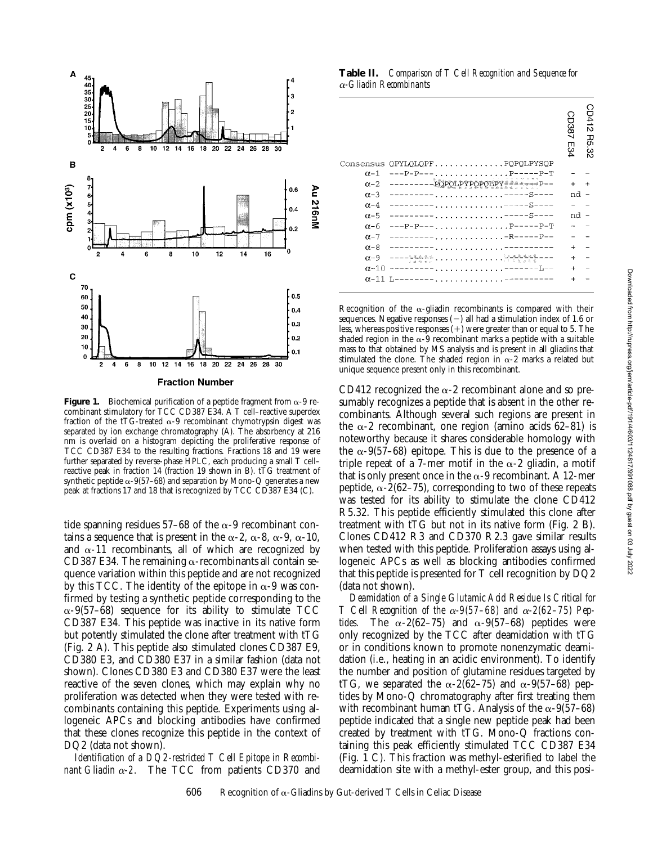

**Figure 1.** Biochemical purification of a peptide fragment from  $\alpha$ -9 recombinant stimulatory for TCC CD387 E34. A T cell–reactive superdex fraction of the tTG-treated  $\alpha$ -9 recombinant chymotrypsin digest was separated by ion exchange chromatography (A). The absorbency at 216 nm is overlaid on a histogram depicting the proliferative response of TCC CD387 E34 to the resulting fractions. Fractions 18 and 19 were further separated by reverse-phase HPLC, each producing a small T cell– reactive peak in fraction 14 (fraction 19 shown in B).  $t\tilde{T}G$  treatment of synthetic peptide  $\alpha$ -9(57–68) and separation by Mono-Q generates a new peak at fractions 17 and 18 that is recognized by TCC CD387 E34 (C).

tide spanning residues 57–68 of the  $\alpha$ -9 recombinant contains a sequence that is present in the  $\alpha$ -2,  $\alpha$ -8,  $\alpha$ -9,  $\alpha$ -10, and  $\alpha$ -11 recombinants, all of which are recognized by CD387 E34. The remaining  $\alpha$ -recombinants all contain sequence variation within this peptide and are not recognized by this TCC. The identity of the epitope in  $\alpha$ -9 was confirmed by testing a synthetic peptide corresponding to the  $\alpha$ -9(57–68) sequence for its ability to stimulate TCC CD387 E34. This peptide was inactive in its native form but potently stimulated the clone after treatment with tTG (Fig. 2 A). This peptide also stimulated clones CD387 E9, CD380 E3, and CD380 E37 in a similar fashion (data not shown). Clones CD380 E3 and CD380 E37 were the least reactive of the seven clones, which may explain why no proliferation was detected when they were tested with recombinants containing this peptide. Experiments using allogeneic APCs and blocking antibodies have confirmed that these clones recognize this peptide in the context of DQ2 (data not shown).

*Identification of a DQ2-restricted T Cell Epitope in Recombinant Gliadin*  $\alpha$ *-2.* The TCC from patients CD370 and

**Table II.** *Comparison of T Cell Recognition and Sequence for*  <sup>a</sup>*-Gliadin Recombinants*

|              |                                                           | $\circ$<br>D387<br>т<br>34 | F<br>공 |
|--------------|-----------------------------------------------------------|----------------------------|--------|
| Consensus    | OPYLOLOPFPOPOLPYSOP                                       |                            |        |
| $\alpha - 1$ | $\ldots \ldots \ldots \ldots P^{---P-P-T}$<br>$---P-P---$ |                            |        |
| $\alpha$ -2  | POPO-<br><b>Ĺ₽Ÿ₽Ѻ₽QĽŖŸ</b> <del>ĔĔĿĿĸĸĸ</del> P~~         | $+$                        | $\div$ |
| $\alpha$ -3  | $---S---$                                                 | nd                         |        |
| $\alpha$ -4  | S-<br>$\ldots$ $-$                                        |                            |        |
| $\alpha$ -5  | $-S-$<br>.                                                | nd                         |        |
| $\alpha$ -6  | . P-----P-T<br>---P-P--                                   |                            |        |
| $\alpha$ -7  | . -R------P--                                             |                            |        |
| $\alpha - 8$ |                                                           | $+$                        |        |
| $\alpha$ -9  | $\cdots \cdots \cdots$<br>$\cdots$                        | $+$                        |        |
| $\alpha$ -10 | . -------T --                                             | $+$                        |        |
| $\alpha$ -11 |                                                           |                            |        |
|              |                                                           |                            |        |

Recognition of the  $\alpha$ -gliadin recombinants is compared with their sequences. Negative responses  $(-)$  all had a stimulation index of 1.6 or less, whereas positive responses  $(+)$  were greater than or equal to 5. The shaded region in the  $\alpha$ -9 recombinant marks a peptide with a suitable mass to that obtained by MS analysis and is present in all gliadins that stimulated the clone. The shaded region in  $\alpha$ -2 marks a related but unique sequence present only in this recombinant.

CD412 recognized the  $\alpha$ -2 recombinant alone and so presumably recognizes a peptide that is absent in the other recombinants. Although several such regions are present in the  $\alpha$ -2 recombinant, one region (amino acids 62–81) is noteworthy because it shares considerable homology with the  $\alpha$ -9(57–68) epitope. This is due to the presence of a triple repeat of a 7-mer motif in the  $\alpha$ -2 gliadin, a motif that is only present once in the  $\alpha$ -9 recombinant. A 12-mer peptide,  $\alpha$ -2(62-75), corresponding to two of these repeats was tested for its ability to stimulate the clone CD412 R5.32. This peptide efficiently stimulated this clone after treatment with tTG but not in its native form (Fig. 2 B). Clones CD412 R3 and CD370 R2.3 gave similar results when tested with this peptide. Proliferation assays using allogeneic APCs as well as blocking antibodies confirmed that this peptide is presented for T cell recognition by DQ2 (data not shown).

*Deamidation of a Single Glutamic Acid Residue Is Critical for T* Cell Recognition of the  $\alpha$ -9(57–68) and  $\alpha$ -2(62–75) Pep*tides.* The  $\alpha$ -2(62–75) and  $\alpha$ -9(57–68) peptides were only recognized by the TCC after deamidation with tTG or in conditions known to promote nonenzymatic deamidation (i.e., heating in an acidic environment). To identify the number and position of glutamine residues targeted by tTG, we separated the  $\alpha$ -2(62-75) and  $\alpha$ -9(57-68) peptides by Mono-Q chromatography after first treating them with recombinant human tTG. Analysis of the  $\alpha$ -9(57–68) peptide indicated that a single new peptide peak had been created by treatment with tTG. Mono-Q fractions containing this peak efficiently stimulated TCC CD387 E34 (Fig. 1 C). This fraction was methyl-esterified to label the deamidation site with a methyl-ester group, and this posi-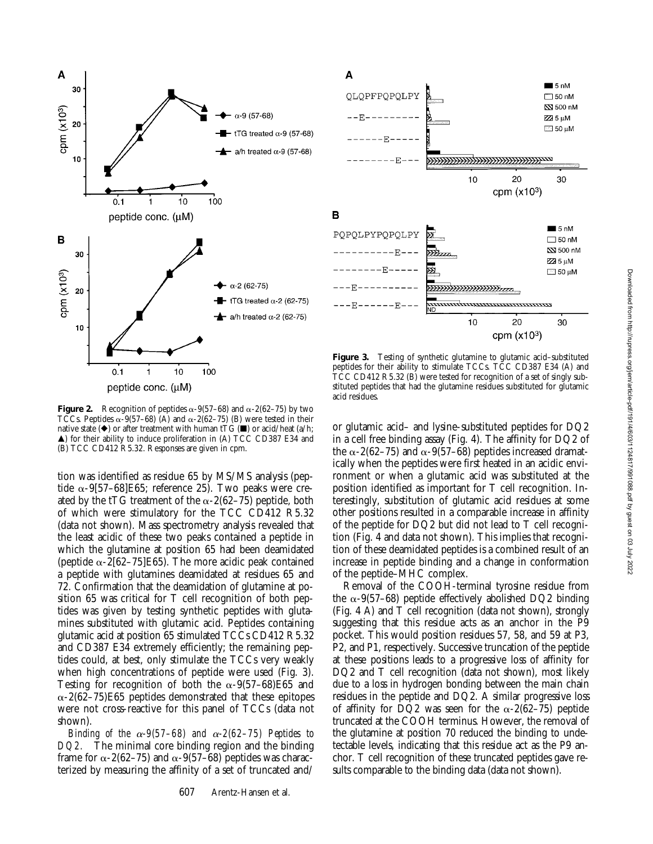



**Figure 3.** Testing of synthetic glutamine to glutamic acid–substituted peptides for their ability to stimulate TCCs. TCC CD387 E34 (A) and TCC CD412 R5.32 (B) were tested for recognition of a set of singly substituted peptides that had the glutamine residues substituted for glutamic acid residues.

**Figure 2.** Recognition of peptides  $\alpha$ -9(57–68) and  $\alpha$ -2(62–75) by two TCCs. Peptides  $\alpha$ -9(57–68) (A) and  $\alpha$ -2(62–75) (B) were tested in their native state  $(\blacklozenge)$  or after treatment with human tTG ( $\blacksquare$ ) or acid/heat (a/h;  $\triangle$ ) for their ability to induce proliferation in (A) TCC CD387 E34 and (B) TCC CD412 R5.32. Responses are given in cpm.

tion was identified as residue 65 by MS/MS analysis (peptide  $\alpha$ -9[57–68]E65; reference 25). Two peaks were created by the tTG treatment of the  $\alpha$ -2(62–75) peptide, both of which were stimulatory for the TCC CD412 R5.32 (data not shown). Mass spectrometry analysis revealed that the least acidic of these two peaks contained a peptide in which the glutamine at position 65 had been deamidated (peptide  $\alpha$ -2[62–75]E65). The more acidic peak contained a peptide with glutamines deamidated at residues 65 and 72. Confirmation that the deamidation of glutamine at position 65 was critical for T cell recognition of both peptides was given by testing synthetic peptides with glutamines substituted with glutamic acid. Peptides containing glutamic acid at position 65 stimulated TCCs CD412 R5.32 and CD387 E34 extremely efficiently; the remaining peptides could, at best, only stimulate the TCCs very weakly when high concentrations of peptide were used (Fig. 3). Testing for recognition of both the  $\alpha$ -9(57–68)E65 and  $\alpha$ -2(62–75)E65 peptides demonstrated that these epitopes were not cross-reactive for this panel of TCCs (data not shown).

*Binding of the*  $\alpha$ *-9(57–68) and*  $\alpha$ *-2(62–75) Peptides to DQ2.* The minimal core binding region and the binding frame for  $\alpha$ -2(62–75) and  $\alpha$ -9(57–68) peptides was characterized by measuring the affinity of a set of truncated and/

or glutamic acid– and lysine-substituted peptides for DQ2 in a cell free binding assay (Fig. 4). The affinity for DQ2 of the  $\alpha$ -2(62–75) and  $\alpha$ -9(57–68) peptides increased dramatically when the peptides were first heated in an acidic environment or when a glutamic acid was substituted at the position identified as important for T cell recognition. In-

terestingly, substitution of glutamic acid residues at some other positions resulted in a comparable increase in affinity of the peptide for DQ2 but did not lead to T cell recognition (Fig. 4 and data not shown). This implies that recognition of these deamidated peptides is a combined result of an increase in peptide binding and a change in conformation

of the peptide–MHC complex. Removal of the COOH-terminal tyrosine residue from the  $\alpha$ -9(57–68) peptide effectively abolished DQ2 binding (Fig. 4 A) and T cell recognition (data not shown), strongly suggesting that this residue acts as an anchor in the P9 pocket. This would position residues 57, 58, and 59 at P3, P2, and P1, respectively. Successive truncation of the peptide at these positions leads to a progressive loss of affinity for DQ2 and T cell recognition (data not shown), most likely due to a loss in hydrogen bonding between the main chain residues in the peptide and DQ2. A similar progressive loss of affinity for DQ2 was seen for the  $\alpha$ -2(62–75) peptide truncated at the COOH terminus. However, the removal of the glutamine at position 70 reduced the binding to undetectable levels, indicating that this residue act as the P9 anchor. T cell recognition of these truncated peptides gave results comparable to the binding data (data not shown).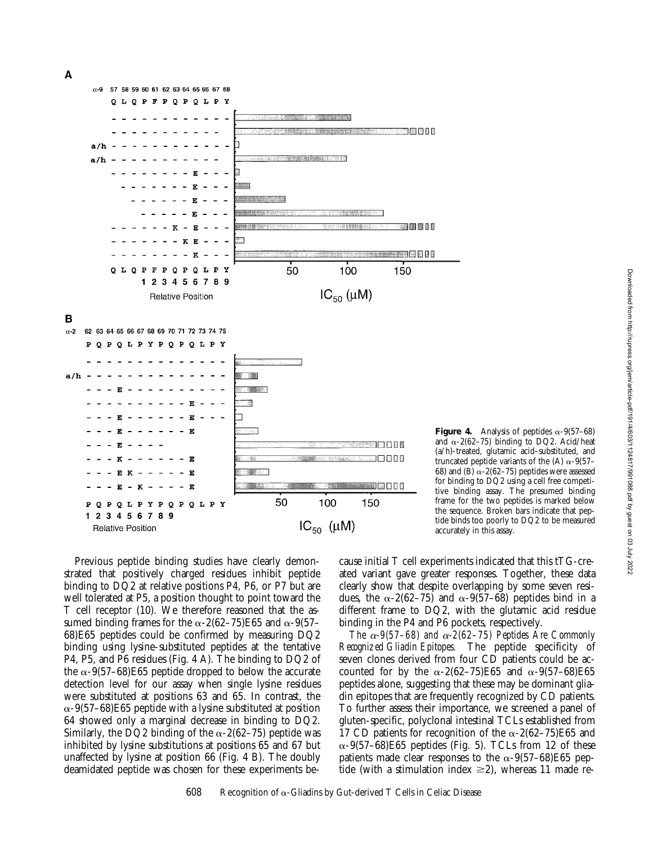A



Previous peptide binding studies have clearly demonstrated that positively charged residues inhibit peptide binding to DQ2 at relative positions P4, P6, or P7 but are well tolerated at P5, a position thought to point toward the T cell receptor (10). We therefore reasoned that the assumed binding frames for the  $\alpha$ -2(62–75)E65 and  $\alpha$ -9(57– 68)E65 peptides could be confirmed by measuring DQ2 binding using lysine-substituted peptides at the tentative P4, P5, and P6 residues (Fig. 4 A). The binding to DQ2 of the  $\alpha$ -9(57–68)E65 peptide dropped to below the accurate detection level for our assay when single lysine residues were substituted at positions 63 and 65. In contrast, the  $\alpha$ -9(57–68)E65 peptide with a lysine substituted at position 64 showed only a marginal decrease in binding to DQ2. Similarly, the DQ2 binding of the  $\alpha$ -2(62–75) peptide was inhibited by lysine substitutions at positions 65 and 67 but unaffected by lysine at position 66 (Fig. 4 B). The doubly deamidated peptide was chosen for these experiments because initial T cell experiments indicated that this tTG-created variant gave greater responses. Together, these data clearly show that despite overlapping by some seven residues, the  $\alpha$ -2(62–75) and  $\alpha$ -9(57–68) peptides bind in a different frame to DQ2, with the glutamic acid residue binding in the P4 and P6 pockets, respectively.

*The*  $\alpha$ -9(57–68) and  $\alpha$ -2(62–75) Peptides Are Commonly *Recognized Gliadin Epitopes.* The peptide specificity of seven clones derived from four CD patients could be accounted for by the  $\alpha$ -2(62–75)E65 and  $\alpha$ -9(57–68)E65 peptides alone, suggesting that these may be dominant gliadin epitopes that are frequently recognized by CD patients. To further assess their importance, we screened a panel of gluten-specific, polyclonal intestinal TCLs established from 17 CD patients for recognition of the  $\alpha$ -2(62–75)E65 and  $\alpha$ -9(57–68)E65 peptides (Fig. 5). TCLs from 12 of these patients made clear responses to the  $\alpha$ -9(57–68)E65 peptide (with a stimulation index  $\geq$ 2), whereas 11 made re-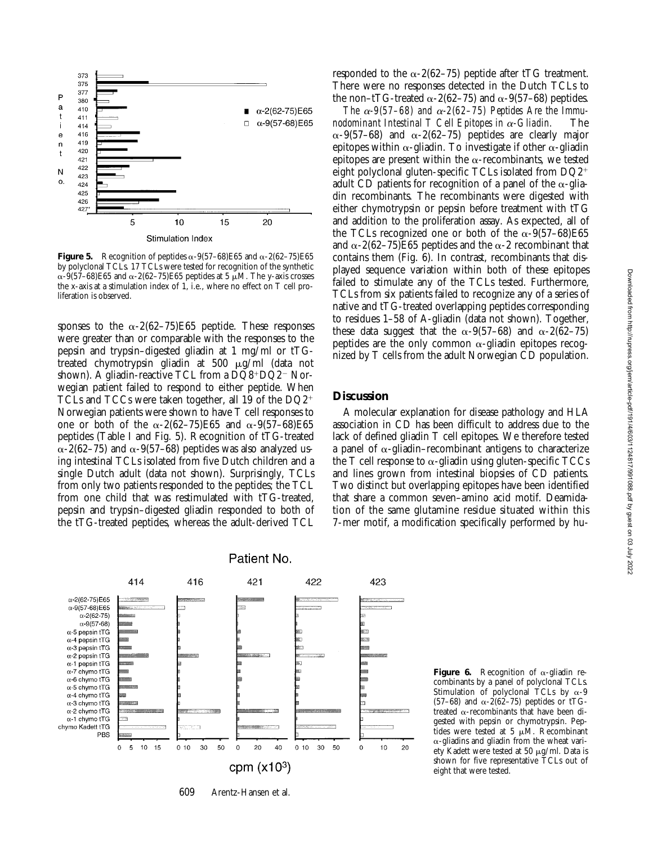

**Figure 5.** Recognition of peptides  $\alpha$ -9(57–68)E65 and  $\alpha$ -2(62–75)E65 by polyclonal TCLs. 17 TCLs were tested for recognition of the synthetic  $\alpha$ -9(57–68)E65 and  $\alpha$ -2(62–75)E65 peptides at 5  $\mu$ M. The y-axis crosses the x-axis at a stimulation index of 1, i.e., where no effect on T cell proliferation is observed.

sponses to the  $\alpha$ -2(62–75)E65 peptide. These responses were greater than or comparable with the responses to the pepsin and trypsin–digested gliadin at 1 mg/ml or tTGtreated chymotrypsin gliadin at 500 mg/ml (data not shown). A gliadin-reactive TCL from a  $DQ8+DQ2-$  Norwegian patient failed to respond to either peptide. When TCLs and TCCs were taken together, all 19 of the  $DQ2^+$ Norwegian patients were shown to have T cell responses to one or both of the  $\alpha$ -2(62–75)E65 and  $\alpha$ -9(57–68)E65 peptides (Table I and Fig. 5). Recognition of tTG-treated  $\alpha$ -2(62–75) and  $\alpha$ -9(57–68) peptides was also analyzed using intestinal TCLs isolated from five Dutch children and a single Dutch adult (data not shown). Surprisingly, TCLs from only two patients responded to the peptides; the TCL from one child that was restimulated with tTG-treated, pepsin and trypsin–digested gliadin responded to both of the tTG-treated peptides, whereas the adult-derived TCL



609 Arentz-Hansen et al.

responded to the  $\alpha$ -2(62–75) peptide after tTG treatment. There were no responses detected in the Dutch TCLs to the non–tTG-treated  $\alpha$ -2(62–75) and  $\alpha$ -9(57–68) peptides.

*The*  $\alpha$ -9(57–68) and  $\alpha$ -2(62–75) Peptides Are the Immu*nodominant Intestinal T Cell Epitopes in*  $\alpha$ *-Gliadin.* The  $\alpha$ -9(57–68) and  $\alpha$ -2(62–75) peptides are clearly major epitopes within  $\alpha$ -gliadin. To investigate if other  $\alpha$ -gliadin epitopes are present within the  $\alpha$ -recombinants, we tested eight polyclonal gluten-specific TCLs isolated from  $DQ2^+$ adult CD patients for recognition of a panel of the  $\alpha$ -gliadin recombinants. The recombinants were digested with either chymotrypsin or pepsin before treatment with tTG and addition to the proliferation assay. As expected, all of the TCLs recognized one or both of the  $\alpha$ -9(57–68)E65 and  $\alpha$ -2(62–75)E65 peptides and the  $\alpha$ -2 recombinant that contains them (Fig. 6). In contrast, recombinants that displayed sequence variation within both of these epitopes failed to stimulate any of the TCLs tested. Furthermore, TCLs from six patients failed to recognize any of a series of native and tTG-treated overlapping peptides corresponding to residues 1–58 of A-gliadin (data not shown). Together, these data suggest that the  $\alpha$ -9(57–68) and  $\alpha$ -2(62–75) peptides are the only common  $\alpha$ -gliadin epitopes recognized by T cells from the adult Norwegian CD population.

#### **Discussion**

A molecular explanation for disease pathology and HLA association in CD has been difficult to address due to the lack of defined gliadin T cell epitopes. We therefore tested a panel of  $\alpha$ -gliadin–recombinant antigens to characterize the T cell response to  $\alpha$ -gliadin using gluten-specific TCCs and lines grown from intestinal biopsies of CD patients. Two distinct but overlapping epitopes have been identified that share a common seven–amino acid motif. Deamidation of the same glutamine residue situated within this 7-mer motif, a modification specifically performed by hu-

**Figure 6.** Recognition of  $\alpha$ -gliadin recombinants by a panel of polyclonal TCLs. Stimulation of polyclonal TCLs by  $\alpha$ -9 (57–68) and  $\alpha$ -2(62–75) peptides or tTGtreated  $\alpha$ -recombinants that have been digested with pepsin or chymotrypsin. Peptides were tested at 5  $\mu$ M. Recombinant  $\alpha$ -gliadins and gliadin from the wheat variety Kadett were tested at 50  $\mu$ g/ml. Data is shown for five representative TCLs out of eight that were tested.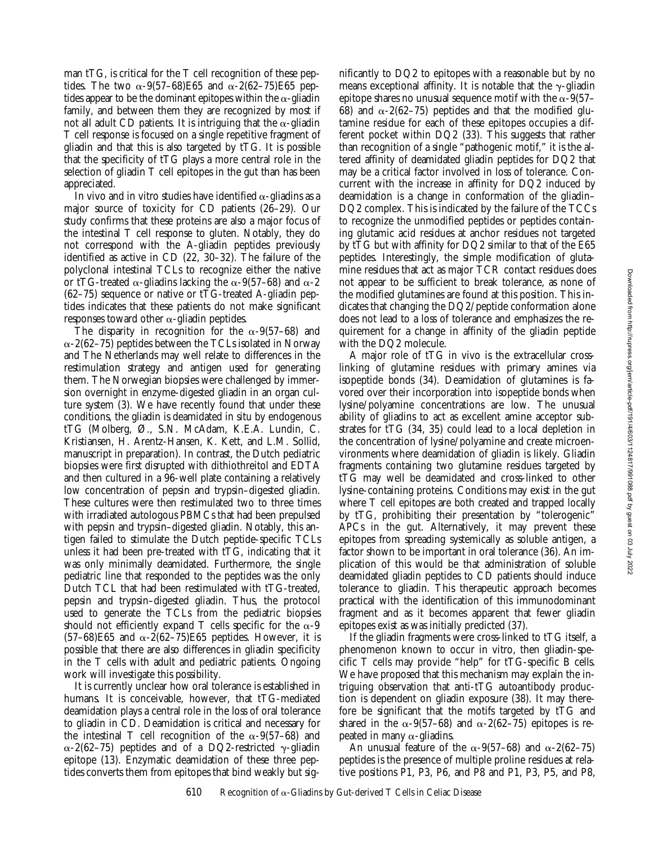man tTG, is critical for the T cell recognition of these peptides. The two  $\alpha$ -9(57–68)E65 and  $\alpha$ -2(62–75)E65 peptides appear to be the dominant epitopes within the  $\alpha$ -gliadin family, and between them they are recognized by most if not all adult CD patients. It is intriguing that the  $\alpha$ -gliadin T cell response is focused on a single repetitive fragment of gliadin and that this is also targeted by tTG. It is possible that the specificity of tTG plays a more central role in the selection of gliadin T cell epitopes in the gut than has been appreciated.

In vivo and in vitro studies have identified  $\alpha$ -gliadins as a major source of toxicity for CD patients (26–29). Our study confirms that these proteins are also a major focus of the intestinal T cell response to gluten. Notably, they do not correspond with the A-gliadin peptides previously identified as active in CD (22, 30–32). The failure of the polyclonal intestinal TCLs to recognize either the native or tTG-treated  $\alpha$ -gliadins lacking the  $\alpha$ -9(57–68) and  $\alpha$ -2 (62–75) sequence or native or tTG-treated A-gliadin peptides indicates that these patients do not make significant responses toward other  $\alpha$ -gliadin peptides.

The disparity in recognition for the  $\alpha$ -9(57–68) and  $\alpha$ -2(62–75) peptides between the TCLs isolated in Norway and The Netherlands may well relate to differences in the restimulation strategy and antigen used for generating them. The Norwegian biopsies were challenged by immersion overnight in enzyme-digested gliadin in an organ culture system (3). We have recently found that under these conditions, the gliadin is deamidated in situ by endogenous tTG (Molberg, Ø., S.N. McAdam, K.E.A. Lundin, C. Kristiansen, H. Arentz-Hansen, K. Kett, and L.M. Sollid, manuscript in preparation). In contrast, the Dutch pediatric biopsies were first disrupted with dithiothreitol and EDTA and then cultured in a 96-well plate containing a relatively low concentration of pepsin and trypsin–digested gliadin. These cultures were then restimulated two to three times with irradiated autologous PBMCs that had been prepulsed with pepsin and trypsin–digested gliadin. Notably, this antigen failed to stimulate the Dutch peptide-specific TCLs unless it had been pre-treated with tTG, indicating that it was only minimally deamidated. Furthermore, the single pediatric line that responded to the peptides was the only Dutch TCL that had been restimulated with tTG-treated, pepsin and trypsin–digested gliadin. Thus, the protocol used to generate the TCLs from the pediatric biopsies should not efficiently expand T cells specific for the  $\alpha$ -9  $(57-68)E65$  and  $\alpha$ -2(62-75)E65 peptides. However, it is possible that there are also differences in gliadin specificity in the T cells with adult and pediatric patients. Ongoing work will investigate this possibility.

It is currently unclear how oral tolerance is established in humans. It is conceivable, however, that tTG-mediated deamidation plays a central role in the loss of oral tolerance to gliadin in CD. Deamidation is critical and necessary for the intestinal T cell recognition of the  $\alpha$ -9(57–68) and  $\alpha$ -2(62–75) peptides and of a DQ2-restricted  $\gamma$ -gliadin epitope (13). Enzymatic deamidation of these three peptides converts them from epitopes that bind weakly but sig-

nificantly to DQ2 to epitopes with a reasonable but by no means exceptional affinity. It is notable that the  $\gamma$ -gliadin epitope shares no unusual sequence motif with the  $\alpha$ -9(57– 68) and  $\alpha$ -2(62-75) peptides and that the modified glutamine residue for each of these epitopes occupies a different pocket within DQ2 (33). This suggests that rather than recognition of a single "pathogenic motif," it is the altered affinity of deamidated gliadin peptides for DQ2 that may be a critical factor involved in loss of tolerance. Concurrent with the increase in affinity for DQ2 induced by deamidation is a change in conformation of the gliadin– DQ2 complex. This is indicated by the failure of the TCCs to recognize the unmodified peptides or peptides containing glutamic acid residues at anchor residues not targeted by tTG but with affinity for DQ2 similar to that of the E65 peptides. Interestingly, the simple modification of glutamine residues that act as major TCR contact residues does not appear to be sufficient to break tolerance, as none of the modified glutamines are found at this position. This indicates that changing the DQ2/peptide conformation alone does not lead to a loss of tolerance and emphasizes the requirement for a change in affinity of the gliadin peptide with the DQ2 molecule.

A major role of tTG in vivo is the extracellular crosslinking of glutamine residues with primary amines via isopeptide bonds (34). Deamidation of glutamines is favored over their incorporation into isopeptide bonds when lysine/polyamine concentrations are low. The unusual ability of gliadins to act as excellent amine acceptor substrates for tTG (34, 35) could lead to a local depletion in the concentration of lysine/polyamine and create microenvironments where deamidation of gliadin is likely. Gliadin fragments containing two glutamine residues targeted by tTG may well be deamidated and cross-linked to other lysine-containing proteins. Conditions may exist in the gut where T cell epitopes are both created and trapped locally by tTG, prohibiting their presentation by "tolerogenic" APCs in the gut. Alternatively, it may prevent these epitopes from spreading systemically as soluble antigen, a factor shown to be important in oral tolerance (36). An implication of this would be that administration of soluble deamidated gliadin peptides to CD patients should induce tolerance to gliadin. This therapeutic approach becomes practical with the identification of this immunodominant fragment and as it becomes apparent that fewer gliadin epitopes exist as was initially predicted (37).

If the gliadin fragments were cross-linked to tTG itself, a phenomenon known to occur in vitro, then gliadin-specific T cells may provide "help" for tTG-specific B cells. We have proposed that this mechanism may explain the intriguing observation that anti-tTG autoantibody production is dependent on gliadin exposure (38). It may therefore be significant that the motifs targeted by tTG and shared in the  $\alpha$ -9(57–68) and  $\alpha$ -2(62–75) epitopes is repeated in many  $\alpha$ -gliadins.

An unusual feature of the  $\alpha$ -9(57–68) and  $\alpha$ -2(62–75) peptides is the presence of multiple proline residues at relative positions P1, P3, P6, and P8 and P1, P3, P5, and P8,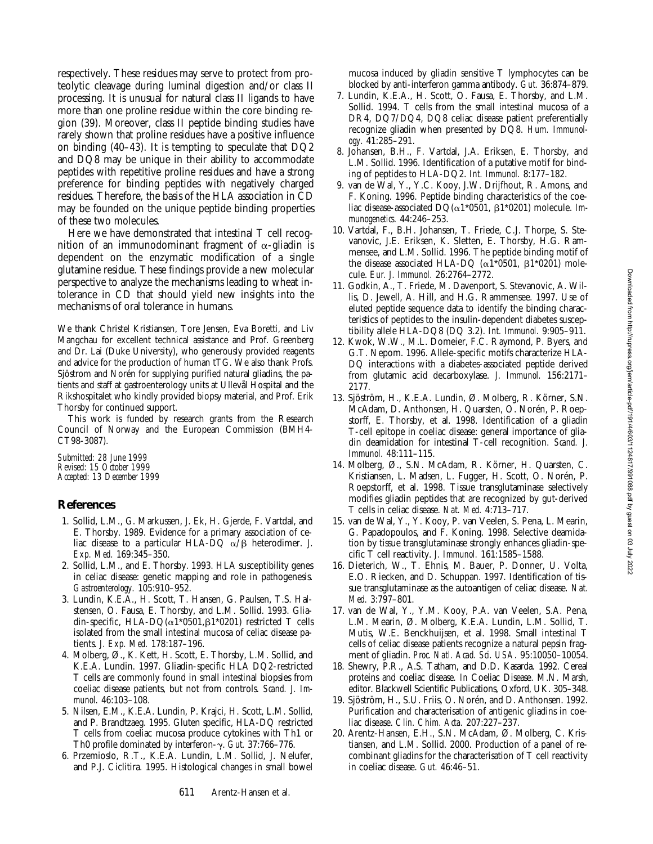respectively. These residues may serve to protect from proteolytic cleavage during luminal digestion and/or class II processing. It is unusual for natural class II ligands to have more than one proline residue within the core binding region (39). Moreover, class II peptide binding studies have rarely shown that proline residues have a positive influence on binding (40–43). It is tempting to speculate that DQ2 and DQ8 may be unique in their ability to accommodate peptides with repetitive proline residues and have a strong preference for binding peptides with negatively charged residues. Therefore, the basis of the HLA association in CD may be founded on the unique peptide binding properties of these two molecules.

Here we have demonstrated that intestinal T cell recognition of an immunodominant fragment of  $\alpha$ -gliadin is dependent on the enzymatic modification of a single glutamine residue. These findings provide a new molecular perspective to analyze the mechanisms leading to wheat intolerance in CD that should yield new insights into the mechanisms of oral tolerance in humans.

We thank Christel Kristiansen, Tore Jensen, Eva Boretti, and Liv Mangchau for excellent technical assistance and Prof. Greenberg and Dr. Lai (Duke University), who generously provided reagents and advice for the production of human tTG. We also thank Profs. Sjöstrom and Norén for supplying purified natural gliadins, the patients and staff at gastroenterology units at Ullevål Hospital and the Rikshospitalet who kindly provided biopsy material, and Prof. Erik Thorsby for continued support.

This work is funded by research grants from the Research Council of Norway and the European Commission (BMH4- CT98-3087).

*Submitted: 28 June 1999 Revised: 15 October 1999 Accepted: 13 December 1999*

# **References**

- 1. Sollid, L.M., G. Markussen, J. Ek, H. Gjerde, F. Vartdal, and E. Thorsby. 1989. Evidence for a primary association of celiac disease to a particular HLA-DQ  $\alpha/\beta$  heterodimer. *J. Exp. Med.* 169:345–350.
- 2. Sollid, L.M., and E. Thorsby. 1993. HLA susceptibility genes in celiac disease: genetic mapping and role in pathogenesis. *Gastroenterology.* 105:910–952.
- 3. Lundin, K.E.A., H. Scott, T. Hansen, G. Paulsen, T.S. Halstensen, O. Fausa, E. Thorsby, and L.M. Sollid. 1993. Gliadin-specific, HLA-DQ( $\alpha$ 1\*0501, $\beta$ 1\*0201) restricted T cells isolated from the small intestinal mucosa of celiac disease patients. *J. Exp. Med.* 178:187–196.
- 4. Molberg, Ø., K. Kett, H. Scott, E. Thorsby, L.M. Sollid, and K.E.A. Lundin. 1997. Gliadin-specific HLA DQ2-restricted T cells are commonly found in small intestinal biopsies from coeliac disease patients, but not from controls. *Scand. J. Immunol.* 46:103–108.
- 5. Nilsen, E.M., K.E.A. Lundin, P. Krajci, H. Scott, L.M. Sollid, and P. Brandtzaeg. 1995. Gluten specific, HLA-DQ restricted T cells from coeliac mucosa produce cytokines with Th1 or Th0 profile dominated by interferon-g. *Gut.* 37:766–776.
- 6. Przemioslo, R.T., K.E.A. Lundin, L.M. Sollid, J. Nelufer, and P.J. Ciclitira. 1995. Histological changes in small bowel

mucosa induced by gliadin sensitive T lymphocytes can be blocked by anti-interferon gamma antibody. *Gut.* 36:874–879.

- 7. Lundin, K.E.A., H. Scott, O. Fausa, E. Thorsby, and L.M. Sollid. 1994. T cells from the small intestinal mucosa of a DR4, DQ7/DQ4, DQ8 celiac disease patient preferentially recognize gliadin when presented by DQ8. *Hum. Immunology.* 41:285–291.
- 8. Johansen, B.H., F. Vartdal, J.A. Eriksen, E. Thorsby, and L.M. Sollid. 1996. Identification of a putative motif for binding of peptides to HLA-DQ2. *Int. Immunol.* 8:177–182.
- 9. van de Wal, Y., Y.C. Kooy, J.W. Drijfhout, R. Amons, and F. Koning. 1996. Peptide binding characteristics of the coeliac disease-associated  $DQ(\alpha1*0501, \beta1*0201)$  molecule. *Immunogenetics.* 44:246–253.
- 10. Vartdal, F., B.H. Johansen, T. Friede, C.J. Thorpe, S. Stevanovic, J.E. Eriksen, K. Sletten, E. Thorsby, H.G. Rammensee, and L.M. Sollid. 1996. The peptide binding motif of the disease associated HLA-DQ ( $\alpha$ 1\*0501,  $\beta$ 1\*0201) molecule. *Eur. J. Immunol.* 26:2764–2772.
- 11. Godkin, A., T. Friede, M. Davenport, S. Stevanovic, A. Willis, D. Jewell, A. Hill, and H.G. Rammensee. 1997. Use of eluted peptide sequence data to identify the binding characteristics of peptides to the insulin-dependent diabetes susceptibility allele HLA-DQ8 (DQ 3.2). *Int. Immunol.* 9:905–911.
- 12. Kwok, W.W., M.L. Domeier, F.C. Raymond, P. Byers, and G.T. Nepom. 1996. Allele-specific motifs characterize HLA-DQ interactions with a diabetes-associated peptide derived from glutamic acid decarboxylase. *J. Immunol.* 156:2171– 2177.
- 13. Sjöström, H., K.E.A. Lundin, Ø. Molberg, R. Körner, S.N. McAdam, D. Anthonsen, H. Quarsten, O. Norén, P. Roepstorff, E. Thorsby, et al. 1998. Identification of a gliadin T-cell epitope in coeliac disease: general importance of gliadin deamidation for intestinal T-cell recognition. *Scand. J. Immunol.* 48:111–115.
- 14. Molberg, Ø., S.N. McAdam, R. Körner, H. Quarsten, C. Kristiansen, L. Madsen, L. Fugger, H. Scott, O. Norén, P. Roepstorff, et al. 1998. Tissue transglutaminase selectively modifies gliadin peptides that are recognized by gut-derived T cells in celiac disease. *Nat. Med.* 4:713–717.
- 15. van de Wal, Y., Y. Kooy, P. van Veelen, S. Pena, L. Mearin, G. Papadopoulos, and F. Koning. 1998. Selective deamidation by tissue transglutaminase strongly enhances gliadin-specific T cell reactivity. *J. Immunol.* 161:1585–1588.
- 16. Dieterich, W., T. Ehnis, M. Bauer, P. Donner, U. Volta, E.O. Riecken, and D. Schuppan. 1997. Identification of tissue transglutaminase as the autoantigen of celiac disease. *Nat. Med.* 3:797–801.
- 17. van de Wal, Y., Y.M. Kooy, P.A. van Veelen, S.A. Pena, L.M. Mearin, Ø. Molberg, K.E.A. Lundin, L.M. Sollid, T. Mutis, W.E. Benckhuijsen, et al. 1998. Small intestinal T cells of celiac disease patients recognize a natural pepsin fragment of gliadin. *Proc. Natl. Acad. Sci. USA.* 95:10050–10054.
- 18. Shewry, P.R., A.S. Tatham, and D.D. Kasarda. 1992. Cereal proteins and coeliac disease. *In* Coeliac Disease. M.N. Marsh, editor. Blackwell Scientific Publications, Oxford, UK. 305–348.
- 19. Sjöström, H., S.U. Friis, O. Norén, and D. Anthonsen. 1992. Purification and characterisation of antigenic gliadins in coeliac disease. *Clin. Chim. Acta.* 207:227–237.
- 20. Arentz-Hansen, E.H., S.N. McAdam, Ø. Molberg, C. Kristiansen, and L.M. Sollid. 2000. Production of a panel of recombinant gliadins for the characterisation of T cell reactivity in coeliac disease. *Gut.* 46:46–51.